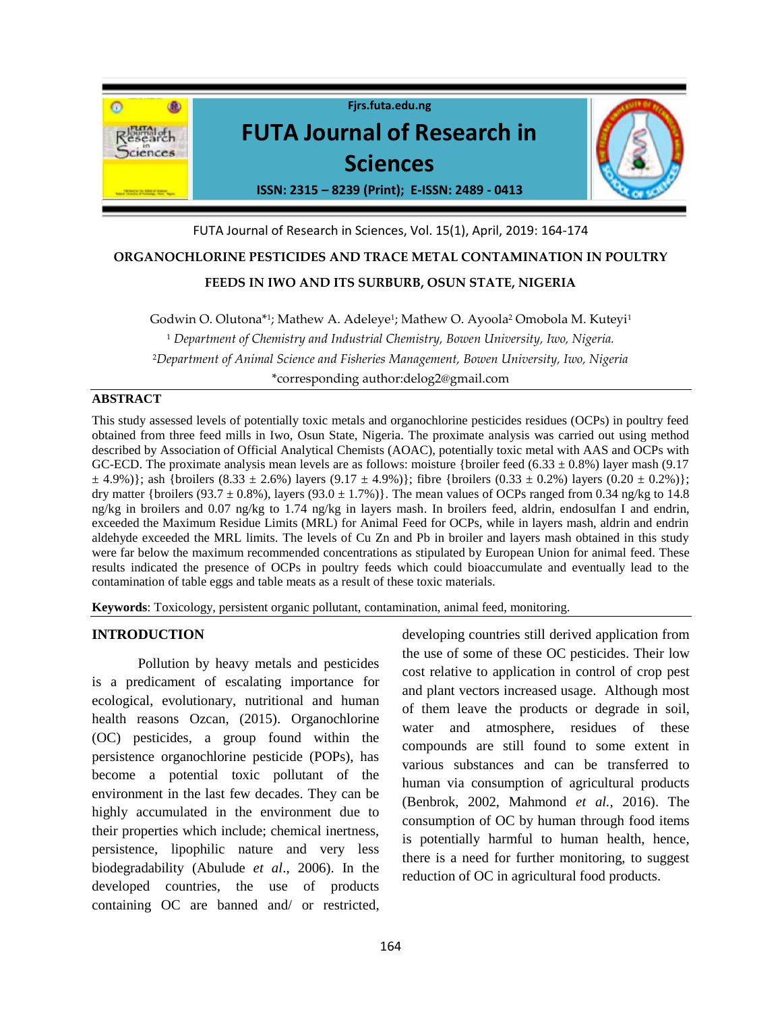

# FUTA Journal of Research in Sciences, Vol. 15(1), April, 2019: 164-174

# **ORGANOCHLORINE PESTICIDES AND TRACE METAL CONTAMINATION IN POULTRY**

# **FEEDS IN IWO AND ITS SURBURB, OSUN STATE, NIGERIA**

Godwin O. Olutona\*<sup>1</sup> ; Mathew A. Adeleye<sup>1</sup> ; Mathew O. Ayoola<sup>2</sup> Omobola M. Kuteyi<sup>1</sup> <sup>1</sup> *Department of Chemistry and Industrial Chemistry, Bowen University, Iwo, Nigeria.* <sup>2</sup>*Department of Animal Science and Fisheries Management, Bowen University, Iwo, Nigeria* \*corresponding author:delog2@gmail.com

#### **ABSTRACT**

This study assessed levels of potentially toxic metals and organochlorine pesticides residues (OCPs) in poultry feed obtained from three feed mills in Iwo, Osun State, Nigeria. The proximate analysis was carried out using method described by Association of Official Analytical Chemists (AOAC), potentially toxic metal with AAS and OCPs with GC-ECD. The proximate analysis mean levels are as follows: moisture {broiler feed (6.33  $\pm$  0.8%) layer mash (9.17  $\pm$  4.9%)}; ash {broilers (8.33  $\pm$  2.6%) layers (9.17  $\pm$  4.9%)}; fibre {broilers (0.33  $\pm$  0.2%) layers (0.20  $\pm$  0.2%)}; dry matter {broilers (93.7  $\pm$  0.8%), layers (93.0  $\pm$  1.7%)}. The mean values of OCPs ranged from 0.34 ng/kg to 14.8 ng/kg in broilers and 0.07 ng/kg to 1.74 ng/kg in layers mash. In broilers feed, aldrin, endosulfan I and endrin, exceeded the Maximum Residue Limits (MRL) for Animal Feed for OCPs, while in layers mash, aldrin and endrin aldehyde exceeded the MRL limits. The levels of Cu Zn and Pb in broiler and layers mash obtained in this study were far below the maximum recommended concentrations as stipulated by European Union for animal feed. These results indicated the presence of OCPs in poultry feeds which could bioaccumulate and eventually lead to the contamination of table eggs and table meats as a result of these toxic materials.

**Keywords**: Toxicology, persistent organic pollutant, contamination, animal feed, monitoring.

# **INTRODUCTION**

Pollution by heavy metals and pesticides is a predicament of escalating importance for ecological, evolutionary, nutritional and human health reasons Ozcan, (2015). Organochlorine (OC) pesticides, a group found within the persistence organochlorine pesticide (POPs), has become a potential toxic pollutant of the environment in the last few decades. They can be highly accumulated in the environment due to their properties which include; chemical inertness, persistence, lipophilic nature and very less biodegradability (Abulude *et al*., 2006). In the developed countries, the use of products containing OC are banned and/ or restricted,

developing countries still derived application from the use of some of these OC pesticides. Their low cost relative to application in control of crop pest and plant vectors increased usage. Although most of them leave the products or degrade in soil, water and atmosphere, residues of these compounds are still found to some extent in various substances and can be transferred to human via consumption of agricultural products (Benbrok, 2002, Mahmond *et al.,* 2016). The consumption of OC by human through food items is potentially harmful to human health, hence, there is a need for further monitoring, to suggest reduction of OC in agricultural food products.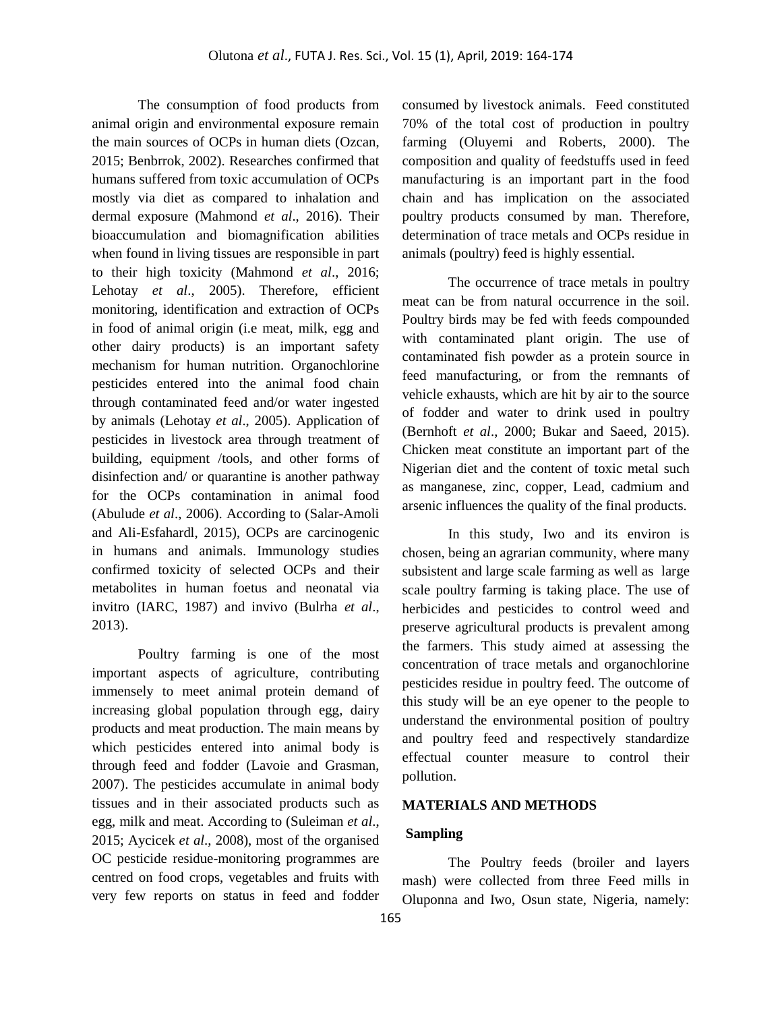The consumption of food products from animal origin and environmental exposure remain the main sources of OCPs in human diets (Ozcan, 2015; Benbrrok, 2002). Researches confirmed that humans suffered from toxic accumulation of OCPs mostly via diet as compared to inhalation and dermal exposure (Mahmond *et al*., 2016). Their bioaccumulation and biomagnification abilities when found in living tissues are responsible in part to their high toxicity (Mahmond *et al*., 2016; Lehotay *et al.*, 2005). Therefore, efficient monitoring, identification and extraction of OCPs in food of animal origin (i.e meat, milk, egg and other dairy products) is an important safety mechanism for human nutrition. Organochlorine pesticides entered into the animal food chain through contaminated feed and/or water ingested by animals (Lehotay *et al*., 2005). Application of pesticides in livestock area through treatment of building, equipment /tools, and other forms of disinfection and/ or quarantine is another pathway for the OCPs contamination in animal food (Abulude *et al*., 2006). According to (Salar-Amoli and Ali-Esfahardl, 2015), OCPs are carcinogenic in humans and animals. Immunology studies confirmed toxicity of selected OCPs and their metabolites in human foetus and neonatal via invitro (IARC, 1987) and invivo (Bulrha *et al*., 2013).

Poultry farming is one of the most important aspects of agriculture, contributing immensely to meet animal protein demand of increasing global population through egg, dairy products and meat production. The main means by which pesticides entered into animal body is through feed and fodder (Lavoie and Grasman, 2007). The pesticides accumulate in animal body tissues and in their associated products such as egg, milk and meat. According to (Suleiman *et al*., 2015; Aycicek *et al*., 2008), most of the organised OC pesticide residue-monitoring programmes are centred on food crops, vegetables and fruits with very few reports on status in feed and fodder consumed by livestock animals. Feed constituted 70% of the total cost of production in poultry farming (Oluyemi and Roberts, 2000). The composition and quality of feedstuffs used in feed manufacturing is an important part in the food chain and has implication on the associated poultry products consumed by man. Therefore, determination of trace metals and OCPs residue in animals (poultry) feed is highly essential.

The occurrence of trace metals in poultry meat can be from natural occurrence in the soil. Poultry birds may be fed with feeds compounded with contaminated plant origin. The use of contaminated fish powder as a protein source in feed manufacturing, or from the remnants of vehicle exhausts, which are hit by air to the source of fodder and water to drink used in poultry (Bernhoft *et al*., 2000; Bukar and Saeed, 2015). Chicken meat constitute an important part of the Nigerian diet and the content of toxic metal such as manganese, zinc, copper, Lead, cadmium and arsenic influences the quality of the final products.

In this study, Iwo and its environ is chosen, being an agrarian community, where many subsistent and large scale farming as well as large scale poultry farming is taking place. The use of herbicides and pesticides to control weed and preserve agricultural products is prevalent among the farmers. This study aimed at assessing the concentration of trace metals and organochlorine pesticides residue in poultry feed. The outcome of this study will be an eye opener to the people to understand the environmental position of poultry and poultry feed and respectively standardize effectual counter measure to control their pollution.

#### **MATERIALS AND METHODS**

### **Sampling**

The Poultry feeds (broiler and layers mash) were collected from three Feed mills in Oluponna and Iwo, Osun state, Nigeria, namely: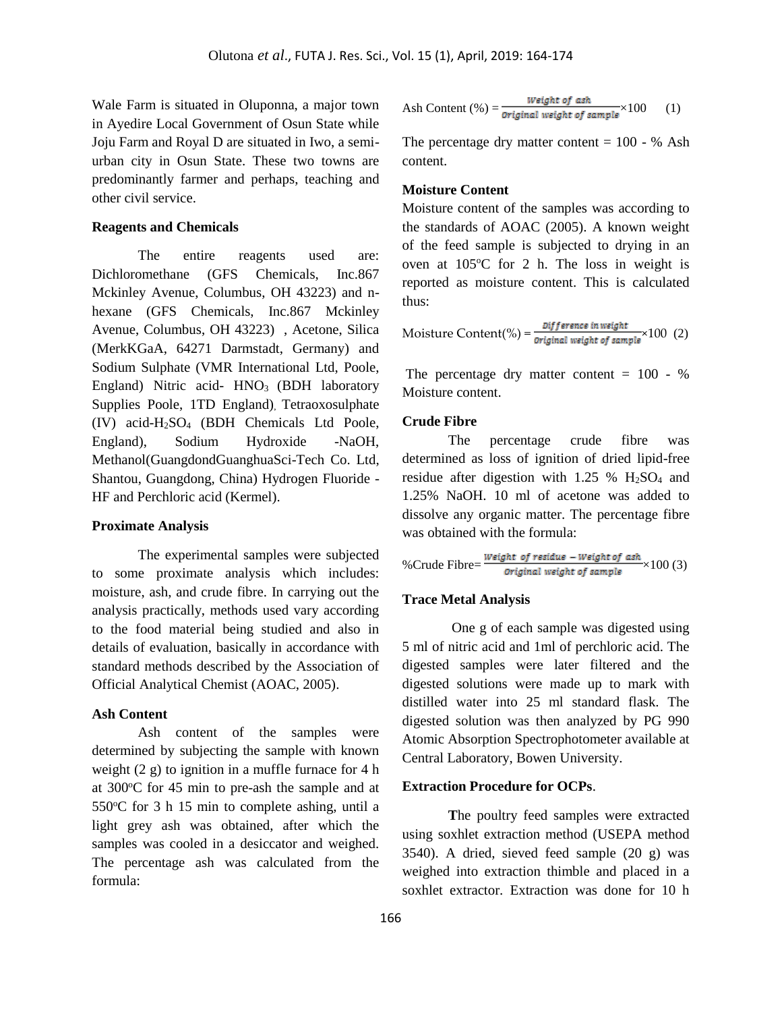Wale Farm is situated in Oluponna, a major town in Ayedire Local Government of Osun State while Joju Farm and Royal D are situated in Iwo, a semiurban city in Osun State. These two towns are predominantly farmer and perhaps, teaching and other civil service.

#### **Reagents and Chemicals**

The entire reagents used are: Dichloromethane (GFS Chemicals, Inc.867 Mckinley Avenue, Columbus, OH 43223) and nhexane (GFS Chemicals, Inc.867 Mckinley) Avenue, Columbus, OH 43223) , Acetone, Silica (MerkKGaA, 64271 Darmstadt, Germany) and Sodium Sulphate (VMR International Ltd, Poole, England) Nitric acid-  $HNO<sub>3</sub>$  (BDH laboratory Supplies Poole, 1TD England), Tetraoxosulphate (IV) acid-H2SO<sup>4</sup> (BDH Chemicals Ltd Poole, England), Sodium Hydroxide -NaOH, Methanol(GuangdondGuanghuaSci-Tech Co. Ltd, Shantou, Guangdong, China) Hydrogen Fluoride - HF and Perchloric acid (Kermel).

#### **Proximate Analysis**

The experimental samples were subjected to some proximate analysis which includes: moisture, ash, and crude fibre. In carrying out the analysis practically, methods used vary according to the food material being studied and also in details of evaluation, basically in accordance with standard methods described by the Association of Official Analytical Chemist (AOAC, 2005).

#### **Ash Content**

Ash content of the samples were determined by subjecting the sample with known weight (2 g) to ignition in a muffle furnace for 4 h at  $300^{\circ}$ C for 45 min to pre-ash the sample and at  $550^{\circ}$ C for 3 h 15 min to complete ashing, until a light grey ash was obtained, after which the samples was cooled in a desiccator and weighed. The percentage ash was calculated from the formula:

$$
Ash Content (%) = \frac{Weight \ of \ ask}{Original \ weight \ of \ sample} \times 100 \tag{1}
$$

The percentage dry matter content  $= 100 - %$  Ash content.

### **Moisture Content**

Moisture content of the samples was according to the standards of AOAC (2005). A known weight of the feed sample is subjected to drying in an oven at  $105^{\circ}$ C for 2 h. The loss in weight is reported as moisture content. This is calculated thus:

Moisture Content (%) = 
$$
\frac{Diff\text{erence in weight}}{\text{original weight of sample}} \times 100 \quad (2)
$$

The percentage dry matter content  $= 100 - %$ Moisture content.

#### **Crude Fibre**

The percentage crude fibre was determined as loss of ignition of dried lipid-free residue after digestion with  $1.25 \%$  H<sub>2</sub>SO<sub>4</sub> and 1.25% NaOH. 10 ml of acetone was added to dissolve any organic matter. The percentage fibre was obtained with the formula:

%Crude Fibre=
$$
\frac{Weight\ of\ residue - Weight\ of\ ash}{Original\ weight\ of\ sample} \times 100\ (3)
$$

#### **Trace Metal Analysis**

One g of each sample was digested using 5 ml of nitric acid and 1ml of perchloric acid. The digested samples were later filtered and the digested solutions were made up to mark with distilled water into 25 ml standard flask. The digested solution was then analyzed by PG 990 Atomic Absorption Spectrophotometer available at Central Laboratory, Bowen University.

#### **Extraction Procedure for OCPs**.

**T**he poultry feed samples were extracted using soxhlet extraction method (USEPA method 3540). A dried, sieved feed sample (20 g) was weighed into extraction thimble and placed in a soxhlet extractor. Extraction was done for 10 h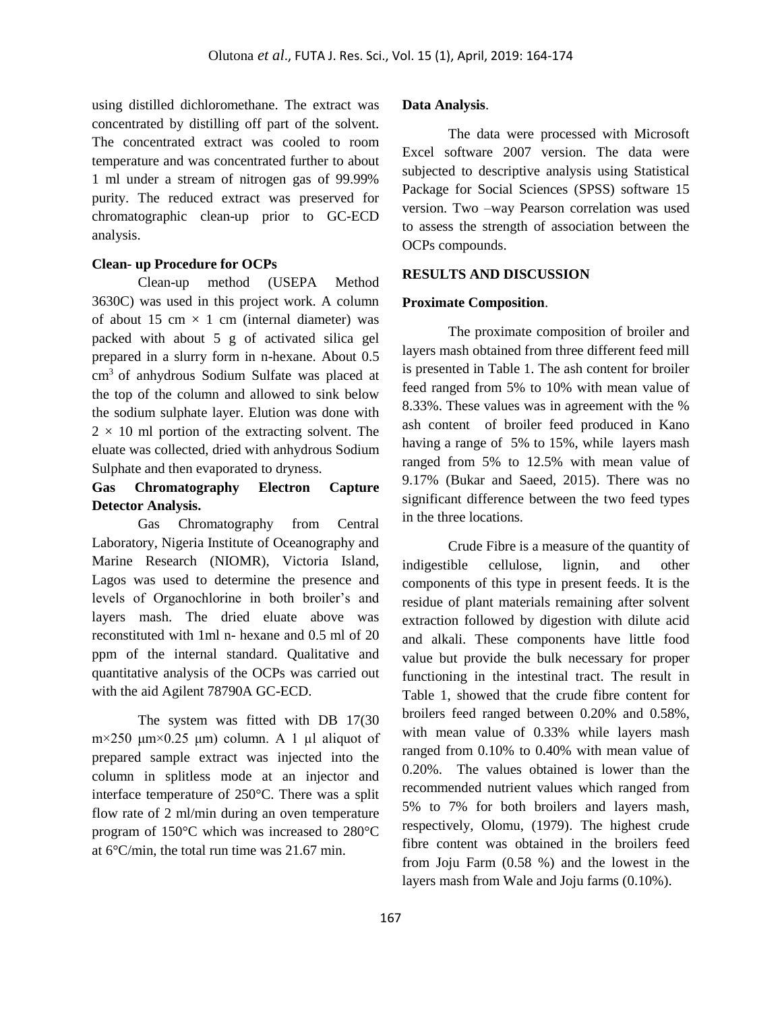using distilled dichloromethane. The extract was concentrated by distilling off part of the solvent. The concentrated extract was cooled to room temperature and was concentrated further to about 1 ml under a stream of nitrogen gas of 99.99% purity. The reduced extract was preserved for chromatographic clean-up prior to GC-ECD analysis.

#### **Clean- up Procedure for OCPs**

Clean-up method (USEPA Method 3630C) was used in this project work. A column of about 15 cm  $\times$  1 cm (internal diameter) was packed with about 5 g of activated silica gel prepared in a slurry form in n-hexane. About 0.5 cm<sup>3</sup> of anhydrous Sodium Sulfate was placed at the top of the column and allowed to sink below the sodium sulphate layer. Elution was done with  $2 \times 10$  ml portion of the extracting solvent. The eluate was collected, dried with anhydrous Sodium Sulphate and then evaporated to dryness.

# **Gas Chromatography Electron Capture Detector Analysis.**

Gas Chromatography from Central Laboratory, Nigeria Institute of Oceanography and Marine Research (NIOMR), Victoria Island, Lagos was used to determine the presence and levels of Organochlorine in both broiler's and layers mash. The dried eluate above was reconstituted with 1ml n- hexane and 0.5 ml of 20 ppm of the internal standard. Qualitative and quantitative analysis of the OCPs was carried out with the aid Agilent 78790A GC-ECD.

The system was fitted with DB 17(30  $m \times 250 \mu m \times 0.25 \mu m$  column. A 1  $\mu$ l aliquot of prepared sample extract was injected into the column in splitless mode at an injector and interface temperature of 250°C. There was a split flow rate of 2 ml/min during an oven temperature program of 150°C which was increased to 280°C at 6°C/min, the total run time was 21.67 min.

#### **Data Analysis**.

The data were processed with Microsoft Excel software 2007 version. The data were subjected to descriptive analysis using Statistical Package for Social Sciences (SPSS) software 15 version. Two –way Pearson correlation was used to assess the strength of association between the OCPs compounds.

# **RESULTS AND DISCUSSION**

#### **Proximate Composition**.

The proximate composition of broiler and layers mash obtained from three different feed mill is presented in Table 1. The ash content for broiler feed ranged from 5% to 10% with mean value of 8.33%. These values was in agreement with the % ash content of broiler feed produced in Kano having a range of 5% to 15%, while layers mash ranged from 5% to 12.5% with mean value of 9.17% (Bukar and Saeed, 2015). There was no significant difference between the two feed types in the three locations.

Crude Fibre is a measure of the quantity of indigestible cellulose, lignin, and other components of this type in present feeds. It is the residue of plant materials remaining after solvent extraction followed by digestion with dilute acid and alkali. These components have little food value but provide the bulk necessary for proper functioning in the intestinal tract. The result in Table 1, showed that the crude fibre content for broilers feed ranged between 0.20% and 0.58%, with mean value of 0.33% while layers mash ranged from 0.10% to 0.40% with mean value of 0.20%. The values obtained is lower than the recommended nutrient values which ranged from 5% to 7% for both broilers and layers mash, respectively, Olomu, (1979). The highest crude fibre content was obtained in the broilers feed from Joju Farm (0.58 %) and the lowest in the layers mash from Wale and Joju farms (0.10%).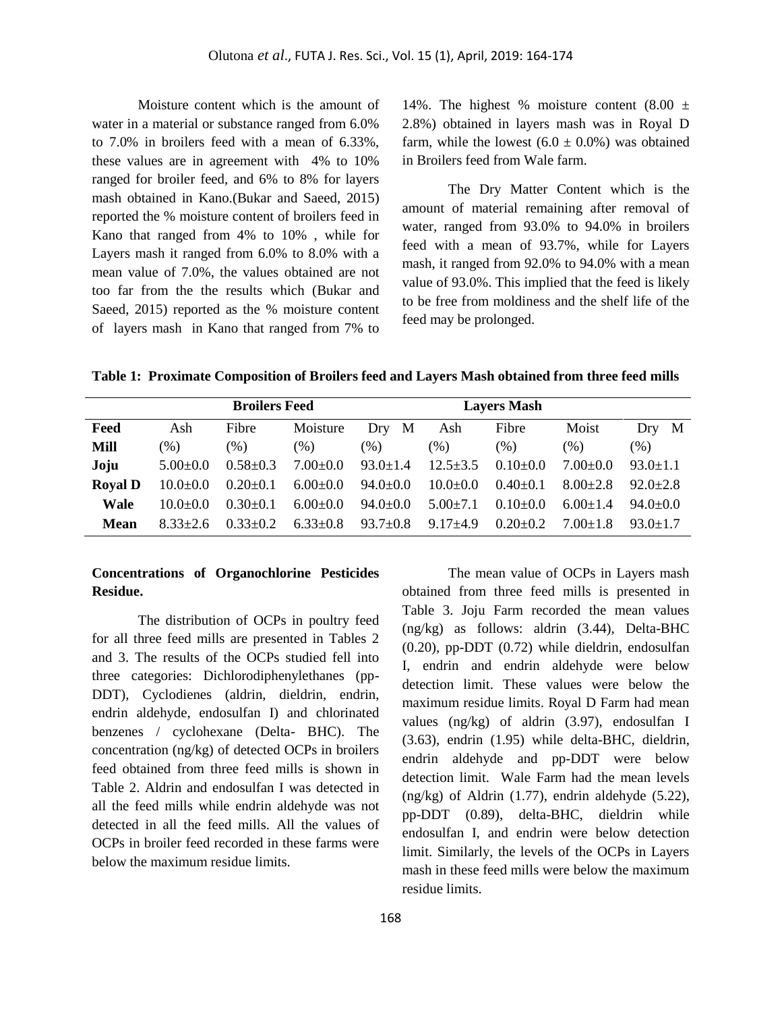Moisture content which is the amount of water in a material or substance ranged from 6.0% to 7.0% in broilers feed with a mean of 6.33%, these values are in agreement with 4% to 10% ranged for broiler feed, and 6% to 8% for layers mash obtained in Kano.(Bukar and Saeed, 2015) reported the % moisture content of broilers feed in Kano that ranged from 4% to 10% , while for Layers mash it ranged from 6.0% to 8.0% with a mean value of 7.0%, the values obtained are not too far from the the results which (Bukar and Saeed, 2015) reported as the % moisture content of layers mash in Kano that ranged from 7% to

14%. The highest % moisture content  $(8.00 \pm$ 2.8%) obtained in layers mash was in Royal D farm, while the lowest  $(6.0 \pm 0.0\%)$  was obtained in Broilers feed from Wale farm.

The Dry Matter Content which is the amount of material remaining after removal of water, ranged from 93.0% to 94.0% in broilers feed with a mean of 93.7%, while for Layers mash, it ranged from 92.0% to 94.0% with a mean value of 93.0%. This implied that the feed is likely to be free from moldiness and the shelf life of the feed may be prolonged.

**Table 1: Proximate Composition of Broilers feed and Layers Mash obtained from three feed mills**

|                |              | <b>Broilers Feed</b> |                |                | <b>Layers Mash</b> |              |              |              |  |
|----------------|--------------|----------------------|----------------|----------------|--------------------|--------------|--------------|--------------|--|
| Feed           | Ash          | Fibre                | Moisture       | M<br>Dry       | Ash                | Fibre        | Moist        | M<br>Dry     |  |
| Mill           | $(\%)$       | (% )                 | (% )           | (% )           | $\frac{9}{6}$      | (% )         | (% )         | $(\% )$      |  |
| Joju           | $5.00+0.0$   | $0.58 \pm 0.3$       | $7.00 \pm 0.0$ | $93.0 \pm 1.4$ | $12.5 + 3.5$       | $0.10+0.0$   | $7.00+0.0$   | $93.0 + 1.1$ |  |
| <b>Royal D</b> | $10.0+0.0$   | $0.20 \pm 0.1$       | $6.00 \pm 0.0$ | $94.0 \pm 0.0$ | $10.0+0.0$         | $0.40 + 0.1$ | $8.00 + 2.8$ | $92.0 + 2.8$ |  |
| Wale           | $10.0 + 0.0$ | $0.30 \pm 0.1$       | $6.00+0.0$     | $94.0 \pm 0.0$ | $5.00 \pm 7.1$     | $0.10+0.0$   | $6.00+1.4$   | $94.0 + 0.0$ |  |
| Mean           | $8.33 + 2.6$ | $0.33+0.2$           | $6.33 \pm 0.8$ | $93.7 \pm 0.8$ | $9.17 + 4.9$       | $0.20 + 0.2$ | $7.00 + 1.8$ | $93.0 + 1.7$ |  |

# **Concentrations of Organochlorine Pesticides Residue.**

The distribution of OCPs in poultry feed for all three feed mills are presented in Tables 2 and 3. The results of the OCPs studied fell into three categories: Dichlorodiphenylethanes (pp-DDT), Cyclodienes (aldrin, dieldrin, endrin, endrin aldehyde, endosulfan I) and chlorinated benzenes / cyclohexane (Delta- BHC). The concentration (ng/kg) of detected OCPs in broilers feed obtained from three feed mills is shown in Table 2. Aldrin and endosulfan I was detected in all the feed mills while endrin aldehyde was not detected in all the feed mills. All the values of OCPs in broiler feed recorded in these farms were below the maximum residue limits.

The mean value of OCPs in Layers mash obtained from three feed mills is presented in Table 3. Joju Farm recorded the mean values (ng/kg) as follows: aldrin (3.44), Delta-BHC (0.20), pp-DDT (0.72) while dieldrin, endosulfan I, endrin and endrin aldehyde were below detection limit. These values were below the maximum residue limits. Royal D Farm had mean values (ng/kg) of aldrin (3.97), endosulfan I (3.63), endrin (1.95) while delta-BHC, dieldrin, endrin aldehyde and pp-DDT were below detection limit. Wale Farm had the mean levels (ng/kg) of Aldrin (1.77), endrin aldehyde (5.22), pp-DDT (0.89), delta-BHC, dieldrin while endosulfan I, and endrin were below detection limit. Similarly, the levels of the OCPs in Layers mash in these feed mills were below the maximum residue limits.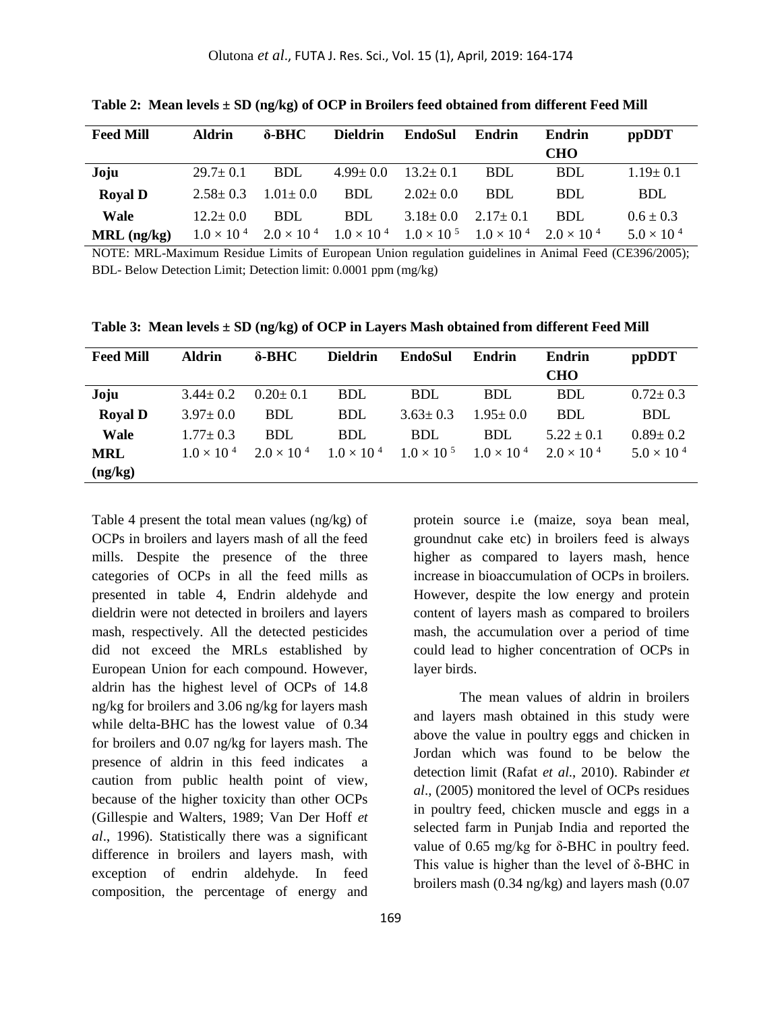| <b>Feed Mill</b> | Aldrin         | $\delta$ -BHC  | <b>Dieldrin</b>                                                                                                         | EndoSul        | Endrin         | Endrin     | ppDDT                |
|------------------|----------------|----------------|-------------------------------------------------------------------------------------------------------------------------|----------------|----------------|------------|----------------------|
|                  |                |                |                                                                                                                         |                |                | CHO        |                      |
| Joju             | $29.7 \pm 0.1$ | <b>BDL</b>     | $4.99 \pm 0.0$                                                                                                          | $13.2 \pm 0.1$ | <b>BDL</b>     | <b>BDL</b> | $1.19 \pm 0.1$       |
| <b>Royal D</b>   | $2.58 \pm 0.3$ | $1.01 \pm 0.0$ | <b>BDL</b>                                                                                                              | $2.02 \pm 0.0$ | BDL            | BDL        | <b>BDL</b>           |
| Wale             | $12.2 + 0.0$   | <b>BDL</b>     | <b>BDL</b>                                                                                                              | $3.18 \pm 0.0$ | $2.17 \pm 0.1$ | BDL        | $0.6 \pm 0.3$        |
| $MRL$ (ng/kg)    |                |                | $1.0 \times 10^{4}$ $2.0 \times 10^{4}$ $1.0 \times 10^{4}$ $1.0 \times 10^{5}$ $1.0 \times 10^{4}$ $2.0 \times 10^{4}$ |                |                |            | $5.0 \times 10^{-4}$ |

**Table 2: Mean levels ± SD (ng/kg) of OCP in Broilers feed obtained from different Feed Mill**

NOTE: MRL-Maximum Residue Limits of European Union regulation guidelines in Animal Feed (CE396/2005); BDL- Below Detection Limit; Detection limit: 0.0001 ppm (mg/kg)

| <b>Feed Mill</b> | <b>Aldrin</b>        | $\delta$ -BHC        | <b>Dieldrin</b>      | <b>EndoSul</b>       | Endrin               | <b>Endrin</b>        | ppDDT                |
|------------------|----------------------|----------------------|----------------------|----------------------|----------------------|----------------------|----------------------|
|                  |                      |                      |                      |                      |                      | <b>CHO</b>           |                      |
| Joju             | $3.44 \pm 0.2$       | $0.20 \pm 0.1$       | <b>BDL</b>           | <b>BDL</b>           | <b>BDL</b>           | <b>BDL</b>           | $0.72 \pm 0.3$       |
| <b>Royal D</b>   | $3.97 \pm 0.0$       | <b>BDL</b>           | <b>BDL</b>           | $3.63 \pm 0.3$       | $1.95 \pm 0.0$       | <b>BDL</b>           | <b>BDL</b>           |
| <b>Wale</b>      | $1.77 + 0.3$         | <b>BDL</b>           | <b>BDL</b>           | <b>BDL</b>           | <b>BDL</b>           | $5.22 + 0.1$         | $0.89 \pm 0.2$       |
| <b>MRL</b>       | $1.0 \times 10^{-4}$ | $2.0 \times 10^{-4}$ | $1.0 \times 10^{-4}$ | $1.0 \times 10^{-5}$ | $1.0 \times 10^{-4}$ | $2.0 \times 10^{-4}$ | $5.0 \times 10^{-4}$ |
| (ng/kg)          |                      |                      |                      |                      |                      |                      |                      |

**Table 3: Mean levels ± SD (ng/kg) of OCP in Layers Mash obtained from different Feed Mill**

Table 4 present the total mean values (ng/kg) of OCPs in broilers and layers mash of all the feed mills. Despite the presence of the three categories of OCPs in all the feed mills as presented in table 4, Endrin aldehyde and dieldrin were not detected in broilers and layers mash, respectively. All the detected pesticides did not exceed the MRLs established by European Union for each compound. However, aldrin has the highest level of OCPs of 14.8 ng/kg for broilers and 3.06 ng/kg for layers mash while delta-BHC has the lowest value of 0.34 for broilers and 0.07 ng/kg for layers mash. The presence of aldrin in this feed indicates a caution from public health point of view, because of the higher toxicity than other OCPs (Gillespie and Walters, 1989; Van Der Hoff *et al*., 1996). Statistically there was a significant difference in broilers and layers mash, with exception of endrin aldehyde. In feed composition, the percentage of energy and

protein source i.e (maize, soya bean meal, groundnut cake etc) in broilers feed is always higher as compared to layers mash, hence increase in bioaccumulation of OCPs in broilers. However, despite the low energy and protein content of layers mash as compared to broilers mash, the accumulation over a period of time could lead to higher concentration of OCPs in layer birds.

The mean values of aldrin in broilers and layers mash obtained in this study were above the value in poultry eggs and chicken in Jordan which was found to be below the detection limit (Rafat *et al*., 2010). Rabinder *et al*., (2005) monitored the level of OCPs residues in poultry feed, chicken muscle and eggs in a selected farm in Punjab India and reported the value of 0.65 mg/kg for δ-BHC in poultry feed. This value is higher than the level of δ-BHC in broilers mash (0.34 ng/kg) and layers mash (0.07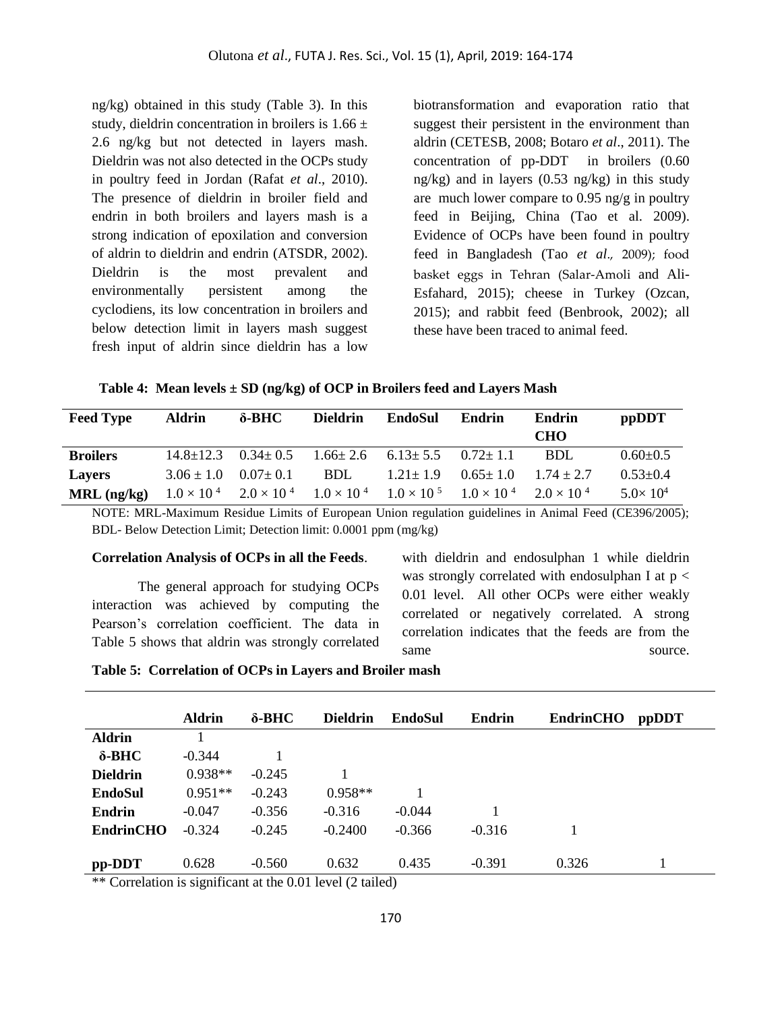ng/kg) obtained in this study (Table 3). In this study, dieldrin concentration in broilers is  $1.66 \pm$ 2.6 ng/kg but not detected in layers mash. Dieldrin was not also detected in the OCPs study in poultry feed in Jordan (Rafat *et al*., 2010). The presence of dieldrin in broiler field and endrin in both broilers and layers mash is a strong indication of epoxilation and conversion of aldrin to dieldrin and endrin (ATSDR, 2002). Dieldrin is the most prevalent and environmentally persistent among the cyclodiens, its low concentration in broilers and below detection limit in layers mash suggest fresh input of aldrin since dieldrin has a low

biotransformation and evaporation ratio that suggest their persistent in the environment than aldrin (CETESB, 2008; Botaro *et al*., 2011). The concentration of pp-DDT in broilers (0.60 ng/kg) and in layers (0.53 ng/kg) in this study are much lower compare to 0.95 ng/g in poultry feed in Beijing, China (Tao et al. 2009). Evidence of OCPs have been found in poultry feed in Bangladesh (Tao *et al*., 2009); food basket eggs in Tehran (Salar-Amoli and Ali-Esfahard, 2015); cheese in Turkey (Ozcan, 2015); and rabbit feed (Benbrook, 2002); all these have been traced to animal feed.

**Table 4: Mean levels ± SD (ng/kg) of OCP in Broilers feed and Layers Mash**

| <b>Feed Type</b> | <b>Aldrin</b>   | $\delta$ -BHC  | <b>Dieldrin</b> | EndoSul                                                                                             | Endrin         | Endrin<br><b>CHO</b> | ppDDT             |
|------------------|-----------------|----------------|-----------------|-----------------------------------------------------------------------------------------------------|----------------|----------------------|-------------------|
| <b>Broilers</b>  | $14.8 \pm 12.3$ | $0.34 \pm 0.5$ |                 | $1.66 \pm 2.6$ $6.13 \pm 5.5$                                                                       | $0.72 + 1.1$   | BDL                  | $0.60 \pm 0.5$    |
| <b>Lavers</b>    | $3.06 \pm 1.0$  | $0.07 \pm 0.1$ | <b>BDL</b>      | $1.21 \pm 1.9$                                                                                      | $0.65 \pm 1.0$ | $1.74 + 2.7$         | $0.53 \pm 0.4$    |
| $MRL$ (ng/kg)    |                 |                |                 | $1.0 \times 10^{4}$ $2.0 \times 10^{4}$ $1.0 \times 10^{4}$ $1.0 \times 10^{5}$ $1.0 \times 10^{4}$ |                | $2.0 \times 10^{-4}$ | $5.0 \times 10^4$ |

NOTE: MRL-Maximum Residue Limits of European Union regulation guidelines in Animal Feed (CE396/2005); BDL- Below Detection Limit; Detection limit: 0.0001 ppm (mg/kg)

#### **Correlation Analysis of OCPs in all the Feeds**.

The general approach for studying OCPs interaction was achieved by computing the Pearson's correlation coefficient. The data in Table 5 shows that aldrin was strongly correlated with dieldrin and endosulphan 1 while dieldrin was strongly correlated with endosulphan I at  $p <$ 0.01 level. All other OCPs were either weakly correlated or negatively correlated. A strong correlation indicates that the feeds are from the same source.

|  | Table 5: Correlation of OCPs in Layers and Broiler mash |  |  |  |  |  |  |  |
|--|---------------------------------------------------------|--|--|--|--|--|--|--|
|--|---------------------------------------------------------|--|--|--|--|--|--|--|

|                      | <b>Aldrin</b> | $\delta$ -BHC | <b>Dieldrin</b>                                         | EndoSul  | Endrin   | <b>EndrinCHO</b> | <i>ppDDT</i> |
|----------------------|---------------|---------------|---------------------------------------------------------|----------|----------|------------------|--------------|
| <b>Aldrin</b>        |               |               |                                                         |          |          |                  |              |
| $\delta$ -BHC        | $-0.344$      |               |                                                         |          |          |                  |              |
| <b>Dieldrin</b>      | $0.938**$     | $-0.245$      |                                                         |          |          |                  |              |
| <b>EndoSul</b>       | $0.951**$     | $-0.243$      | $0.958**$                                               |          |          |                  |              |
| <b>Endrin</b>        | $-0.047$      | $-0.356$      | $-0.316$                                                | $-0.044$ |          |                  |              |
| <b>EndrinCHO</b>     | $-0.324$      | $-0.245$      | $-0.2400$                                               | $-0.366$ | $-0.316$ |                  |              |
|                      |               |               |                                                         |          |          |                  |              |
| pp-DDT               | 0.628         | $-0.560$      | 0.632                                                   | 0.435    | $-0.391$ | 0.326            |              |
| $\sim$ $\sim$ $\sim$ |               |               | $\sim$ $\sim$ $\sim$ $\sim$ $\sim$ $\sim$ $\sim$ $\sim$ |          |          |                  |              |

\*\* Correlation is significant at the 0.01 level (2 tailed)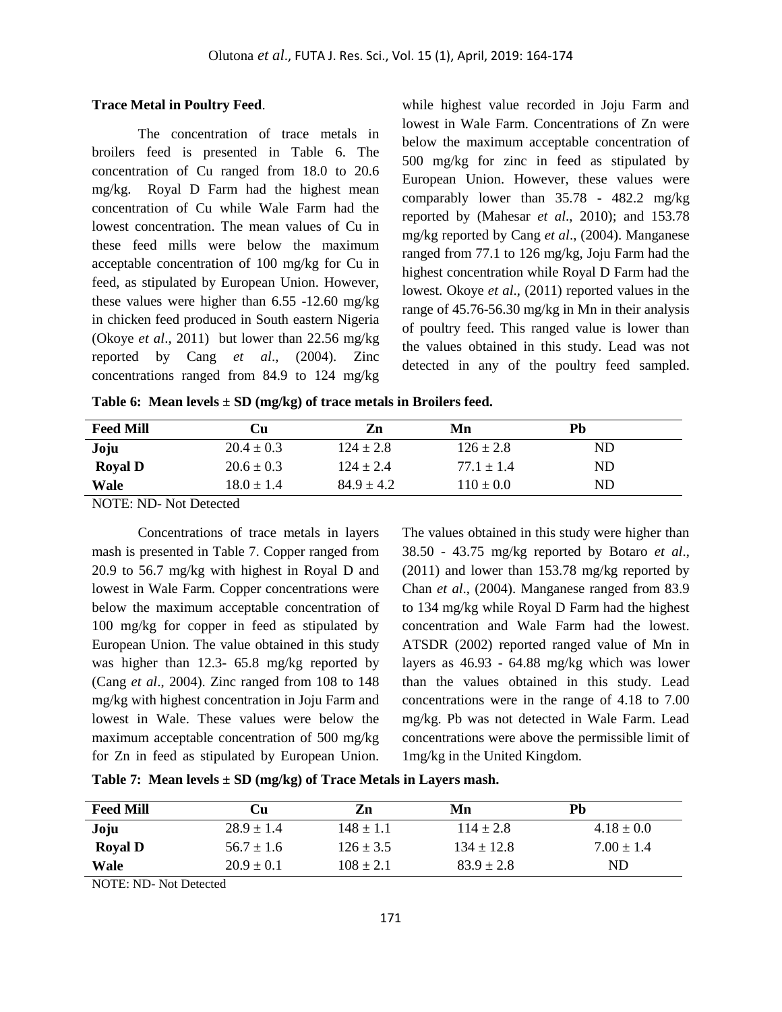#### **Trace Metal in Poultry Feed**.

The concentration of trace metals in broilers feed is presented in Table 6. The concentration of Cu ranged from 18.0 to 20.6 mg/kg. Royal D Farm had the highest mean concentration of Cu while Wale Farm had the lowest concentration. The mean values of Cu in these feed mills were below the maximum acceptable concentration of 100 mg/kg for Cu in feed, as stipulated by European Union. However, these values were higher than 6.55 -12.60 mg/kg in chicken feed produced in South eastern Nigeria (Okoye *et al*., 2011) but lower than 22.56 mg/kg reported by Cang *et al*., (2004). Zinc concentrations ranged from 84.9 to 124 mg/kg while highest value recorded in Joju Farm and lowest in Wale Farm. Concentrations of Zn were below the maximum acceptable concentration of 500 mg/kg for zinc in feed as stipulated by European Union. However, these values were comparably lower than 35.78 - 482.2 mg/kg reported by (Mahesar *et al*., 2010); and 153.78 mg/kg reported by Cang *et al*., (2004). Manganese ranged from 77.1 to 126 mg/kg, Joju Farm had the highest concentration while Royal D Farm had the lowest. Okoye *et al*., (2011) reported values in the range of 45.76-56.30 mg/kg in Mn in their analysis of poultry feed. This ranged value is lower than the values obtained in this study. Lead was not detected in any of the poultry feed sampled.

**Table 6: Mean levels ± SD (mg/kg) of trace metals in Broilers feed.**

| <b>Feed Mill</b> | Cu             | Zn             | Mn             | Pb        |
|------------------|----------------|----------------|----------------|-----------|
| Joju             | $20.4 \pm 0.3$ | $124 \pm 2.8$  | $126 \pm 2.8$  | <b>ND</b> |
| <b>Royal D</b>   | $20.6 \pm 0.3$ | $124 + 2.4$    | $77.1 \pm 1.4$ | ND        |
| Wale             | $18.0 \pm 1.4$ | $84.9 \pm 4.2$ | $110 \pm 0.0$  | ND        |
|                  |                |                |                |           |

NOTE: ND- Not Detected

Concentrations of trace metals in layers mash is presented in Table 7. Copper ranged from 20.9 to 56.7 mg/kg with highest in Royal D and lowest in Wale Farm. Copper concentrations were below the maximum acceptable concentration of 100 mg/kg for copper in feed as stipulated by European Union. The value obtained in this study was higher than 12.3- 65.8 mg/kg reported by (Cang *et al*., 2004). Zinc ranged from 108 to 148 mg/kg with highest concentration in Joju Farm and lowest in Wale. These values were below the maximum acceptable concentration of 500 mg/kg for Zn in feed as stipulated by European Union.

The values obtained in this study were higher than 38.50 - 43.75 mg/kg reported by Botaro *et al*., (2011) and lower than 153.78 mg/kg reported by Chan *et al*., (2004). Manganese ranged from 83.9 to 134 mg/kg while Royal D Farm had the highest concentration and Wale Farm had the lowest. ATSDR (2002) reported ranged value of Mn in layers as 46.93 - 64.88 mg/kg which was lower than the values obtained in this study. Lead concentrations were in the range of 4.18 to 7.00 mg/kg. Pb was not detected in Wale Farm. Lead concentrations were above the permissible limit of 1mg/kg in the United Kingdom.

| <b>Feed Mill</b> | Сu             | Zn            | Mn             | Pb             |
|------------------|----------------|---------------|----------------|----------------|
| Joju             | $28.9 \pm 1.4$ | $148 \pm 1.1$ | $114 \pm 2.8$  | $4.18 \pm 0.0$ |
| <b>Royal D</b>   | $56.7 \pm 1.6$ | $126 \pm 3.5$ | $134 \pm 12.8$ | $7.00 \pm 1.4$ |
| Wale             | $20.9 \pm 0.1$ | $108 \pm 2.1$ | $83.9 \pm 2.8$ | ND             |

**Table 7: Mean levels ± SD (mg/kg) of Trace Metals in Layers mash.**

NOTE: ND- Not Detected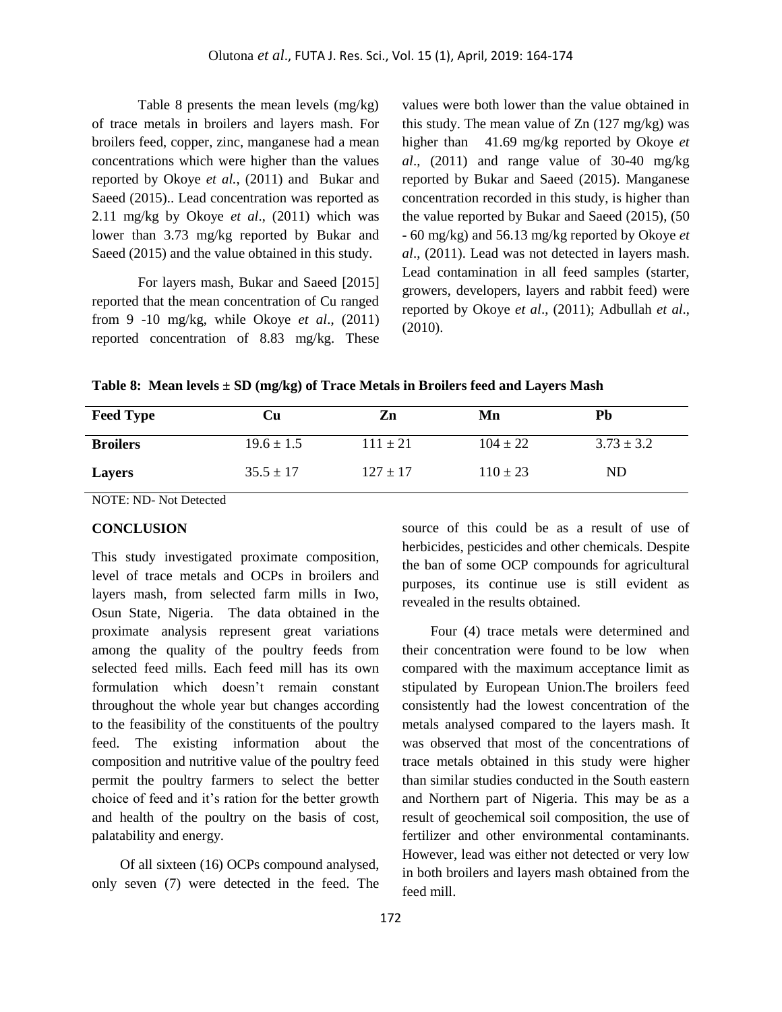Table 8 presents the mean levels (mg/kg) of trace metals in broilers and layers mash. For broilers feed, copper, zinc, manganese had a mean concentrations which were higher than the values reported by Okoye *et al.*, (2011) and Bukar and Saeed (2015).. Lead concentration was reported as 2.11 mg/kg by Okoye *et al*., (2011) which was lower than 3.73 mg/kg reported by Bukar and Saeed (2015) and the value obtained in this study.

For layers mash, Bukar and Saeed [2015] reported that the mean concentration of Cu ranged from 9 -10 mg/kg, while Okoye *et al*., (2011) reported concentration of 8.83 mg/kg. These values were both lower than the value obtained in this study. The mean value of Zn (127 mg/kg) was higher than 41.69 mg/kg reported by Okoye *et al*., (2011) and range value of 30-40 mg/kg reported by Bukar and Saeed (2015). Manganese concentration recorded in this study, is higher than the value reported by Bukar and Saeed (2015), (50 - 60 mg/kg) and 56.13 mg/kg reported by Okoye *et al*., (2011). Lead was not detected in layers mash. Lead contamination in all feed samples (starter, growers, developers, layers and rabbit feed) were reported by Okoye *et al*., (2011); Adbullah *et al*., (2010).

**Table 8: Mean levels ± SD (mg/kg) of Trace Metals in Broilers feed and Layers Mash**

| <b>Feed Type</b> | Cu             | Zn           | Mn           | Pb             |
|------------------|----------------|--------------|--------------|----------------|
| <b>Broilers</b>  | $19.6 \pm 1.5$ | $111 + 21$   | $104 \pm 22$ | $3.73 \pm 3.2$ |
| <b>Layers</b>    | $35.5 \pm 17$  | $127 \pm 17$ | $110 \pm 23$ | ND             |

NOTE: ND- Not Detected

#### **CONCLUSION**

This study investigated proximate composition, level of trace metals and OCPs in broilers and layers mash, from selected farm mills in Iwo, Osun State, Nigeria. The data obtained in the proximate analysis represent great variations among the quality of the poultry feeds from selected feed mills. Each feed mill has its own formulation which doesn't remain constant throughout the whole year but changes according to the feasibility of the constituents of the poultry feed. The existing information about the composition and nutritive value of the poultry feed permit the poultry farmers to select the better choice of feed and it's ration for the better growth and health of the poultry on the basis of cost, palatability and energy.

 Of all sixteen (16) OCPs compound analysed, only seven (7) were detected in the feed. The source of this could be as a result of use of herbicides, pesticides and other chemicals. Despite the ban of some OCP compounds for agricultural purposes, its continue use is still evident as revealed in the results obtained.

 Four (4) trace metals were determined and their concentration were found to be low when compared with the maximum acceptance limit as stipulated by European Union.The broilers feed consistently had the lowest concentration of the metals analysed compared to the layers mash. It was observed that most of the concentrations of trace metals obtained in this study were higher than similar studies conducted in the South eastern and Northern part of Nigeria. This may be as a result of geochemical soil composition, the use of fertilizer and other environmental contaminants. However, lead was either not detected or very low in both broilers and layers mash obtained from the feed mill.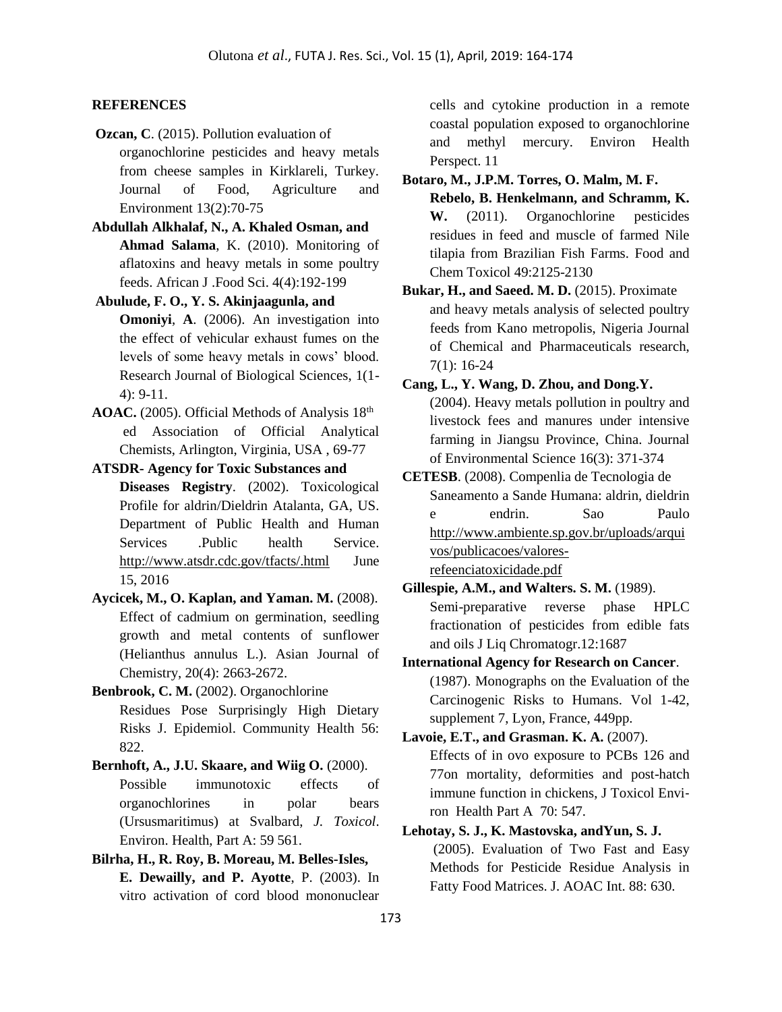# **REFERENCES**

- **Ozcan, C**. (2015). Pollution evaluation of organochlorine pesticides and heavy metals from cheese samples in Kirklareli, Turkey. Journal of Food, Agriculture and Environment 13(2):70-75
- **Abdullah Alkhalaf, N., A. Khaled Osman, and Ahmad Salama**, K. (2010). Monitoring of aflatoxins and heavy metals in some poultry feeds. African J .Food Sci. 4(4):192-199
- **Abulude, F. O., Y. S. Akinjaagunla, and Omoniyi**, **A**. (2006). An investigation into the effect of vehicular exhaust fumes on the levels of some heavy metals in cows' blood. Research Journal of Biological Sciences, 1(1- 4): 9-11.
- AOAC. (2005). Official Methods of Analysis 18<sup>th</sup> ed Association of Official Analytical Chemists, Arlington, Virginia, USA , 69-77
- **ATSDR- Agency for Toxic Substances and Diseases Registry**. (2002). Toxicological Profile for aldrin/Dieldrin Atalanta, GA, US. Department of Public Health and Human Services .Public health Service. <http://www.atsdr.cdc.gov/tfacts/.html> June 15, 2016
- **Aycicek, M., O. Kaplan, and Yaman. M.** (2008). Effect of cadmium on germination, seedling growth and metal contents of sunflower (Helianthus annulus L.). Asian Journal of Chemistry, 20(4): 2663-2672.
- **Benbrook, C. M.** (2002). Organochlorine Residues Pose Surprisingly High Dietary Risks J. Epidemiol. Community Health 56: 822.
- **Bernhoft, A., J.U. Skaare, and Wiig O.** (2000). Possible immunotoxic effects of organochlorines in polar bears (Ursusmaritimus) at Svalbard, *J. Toxicol*. Environ. Health, Part A: 59 561.
- **Bilrha, H., R. Roy, B. Moreau, M. Belles-Isles, E. Dewailly, and P. Ayotte**, P. (2003). In vitro activation of cord blood mononuclear

cells and cytokine production in a remote coastal population exposed to organochlorine and methyl mercury. Environ Health Perspect. 11

- **Botaro, M., J.P.M. Torres, O. Malm, M. F. Rebelo, B. Henkelmann, and Schramm, K. W.** (2011). Organochlorine pesticides residues in feed and muscle of farmed Nile tilapia from Brazilian Fish Farms. Food and Chem Toxicol 49:2125-2130
- **Bukar, H., and Saeed. M. D.** (2015). Proximate and heavy metals analysis of selected poultry feeds from Kano metropolis, Nigeria Journal of Chemical and Pharmaceuticals research, 7(1): 16-24
- **Cang, L., Y. Wang, D. Zhou, and Dong.Y.** (2004). Heavy metals pollution in poultry and livestock fees and manures under intensive farming in Jiangsu Province, China. Journal of Environmental Science 16(3): 371-374
- **CETESB**. (2008). Compenlia de Tecnologia de Saneamento a Sande Humana: aldrin, dieldrin e endrin. Sao Paulo [http://www.ambiente.sp.gov.br/uploads/arqui](http://www.ambiente.sp.gov.br/uploads/arquivos/publicacoes/valores-refeenciatoxicidade.pdf) [vos/publicacoes/valores](http://www.ambiente.sp.gov.br/uploads/arquivos/publicacoes/valores-refeenciatoxicidade.pdf)[refeenciatoxicidade.pdf](http://www.ambiente.sp.gov.br/uploads/arquivos/publicacoes/valores-refeenciatoxicidade.pdf)
- **Gillespie, A.M., and Walters. S. M.** (1989). Semi-preparative reverse phase HPLC fractionation of pesticides from edible fats and oils J Liq Chromatogr.12:1687
- **International Agency for Research on Cancer**. (1987). Monographs on the Evaluation of the Carcinogenic Risks to Humans. Vol 1-42, supplement 7, Lyon, France, 449pp.
- **Lavoie, E.T., and Grasman. K. A.** (2007). Effects of in ovo exposure to PCBs 126 and 77on mortality, deformities and post-hatch immune function in chickens, J Toxicol Envi‐ ron Health Part A 70: 547.

# **Lehotay, S. J., K. Mastovska, andYun, S. J.**

(2005). Evaluation of Two Fast and Easy Methods for Pesticide Residue Analysis in Fatty Food Matrices. J. AOAC Int. 88: 630.